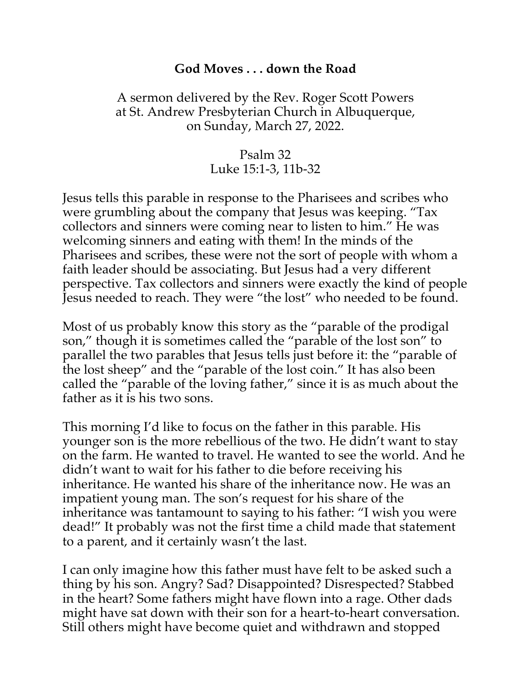## **God Moves . . . down the Road**

## A sermon delivered by the Rev. Roger Scott Powers at St. Andrew Presbyterian Church in Albuquerque, on Sunday, March 27, 2022.

## Psalm 32 Luke 15:1-3, 11b-32

Jesus tells this parable in response to the Pharisees and scribes who were grumbling about the company that Jesus was keeping. "Tax collectors and sinners were coming near to listen to him." He was welcoming sinners and eating with them! In the minds of the Pharisees and scribes, these were not the sort of people with whom a faith leader should be associating. But Jesus had a very different perspective. Tax collectors and sinners were exactly the kind of people Jesus needed to reach. They were "the lost" who needed to be found.

Most of us probably know this story as the "parable of the prodigal son," though it is sometimes called the "parable of the lost son" to parallel the two parables that Jesus tells just before it: the "parable of the lost sheep" and the "parable of the lost coin." It has also been called the "parable of the loving father," since it is as much about the father as it is his two sons.

This morning I'd like to focus on the father in this parable. His younger son is the more rebellious of the two. He didn't want to stay on the farm. He wanted to travel. He wanted to see the world. And he didn't want to wait for his father to die before receiving his inheritance. He wanted his share of the inheritance now. He was an impatient young man. The son's request for his share of the inheritance was tantamount to saying to his father: "I wish you were dead!" It probably was not the first time a child made that statement to a parent, and it certainly wasn't the last.

I can only imagine how this father must have felt to be asked such a thing by his son. Angry? Sad? Disappointed? Disrespected? Stabbed in the heart? Some fathers might have flown into a rage. Other dads might have sat down with their son for a heart-to-heart conversation. Still others might have become quiet and withdrawn and stopped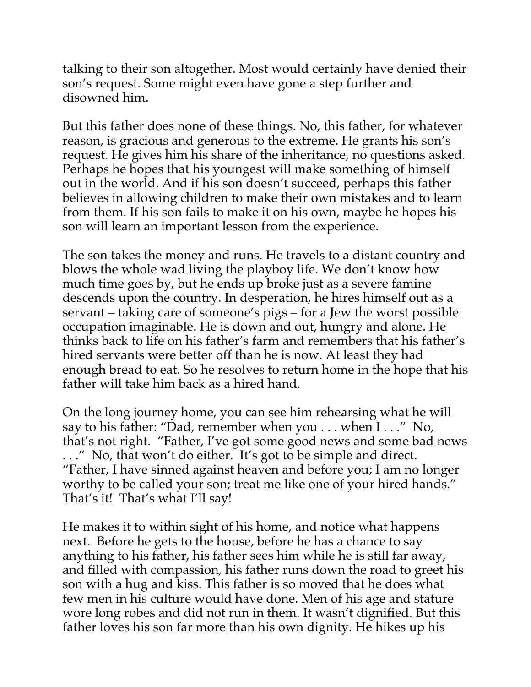talking to their son altogether. Most would certainly have denied their son's request. Some might even have gone a step further and disowned him.

But this father does none of these things. No, this father, for whatever reason, is gracious and generous to the extreme. He grants his son's request. He gives him his share of the inheritance, no questions asked. Perhaps he hopes that his youngest will make something of himself out in the world. And if his son doesn't succeed, perhaps this father believes in allowing children to make their own mistakes and to learn from them. If his son fails to make it on his own, maybe he hopes his son will learn an important lesson from the experience.

The son takes the money and runs. He travels to a distant country and blows the whole wad living the playboy life. We don't know how much time goes by, but he ends up broke just as a severe famine descends upon the country. In desperation, he hires himself out as a servant – taking care of someone's pigs – for a Jew the worst possible occupation imaginable. He is down and out, hungry and alone. He thinks back to life on his father's farm and remembers that his father's hired servants were better off than he is now. At least they had enough bread to eat. So he resolves to return home in the hope that his father will take him back as a hired hand.

On the long journey home, you can see him rehearsing what he will say to his father: "Dad, remember when you . . . when I . . ." No, that's not right. "Father, I've got some good news and some bad news . . ." No, that won't do either. It's got to be simple and direct. "Father, I have sinned against heaven and before you; I am no longer worthy to be called your son; treat me like one of your hired hands." That's it! That's what I'll say!

He makes it to within sight of his home, and notice what happens next. Before he gets to the house, before he has a chance to say anything to his father, his father sees him while he is still far away, and filled with compassion, his father runs down the road to greet his son with a hug and kiss. This father is so moved that he does what few men in his culture would have done. Men of his age and stature wore long robes and did not run in them. It wasn't dignified. But this father loves his son far more than his own dignity. He hikes up his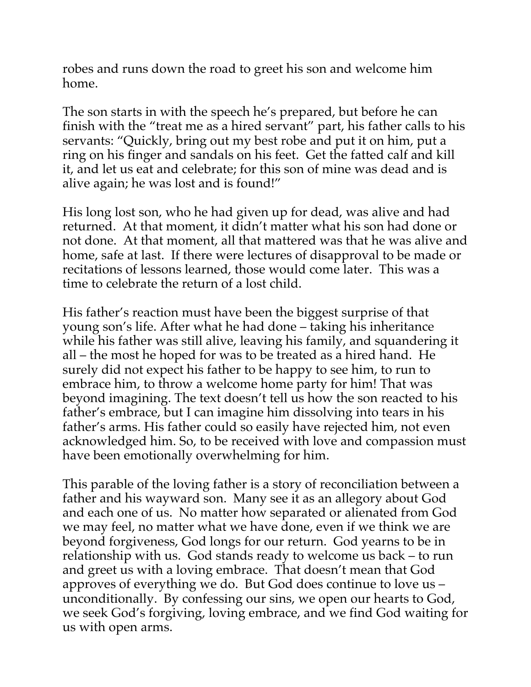robes and runs down the road to greet his son and welcome him home.

The son starts in with the speech he's prepared, but before he can finish with the "treat me as a hired servant" part, his father calls to his servants: "Quickly, bring out my best robe and put it on him, put a ring on his finger and sandals on his feet. Get the fatted calf and kill it, and let us eat and celebrate; for this son of mine was dead and is alive again; he was lost and is found!"

His long lost son, who he had given up for dead, was alive and had returned. At that moment, it didn't matter what his son had done or not done. At that moment, all that mattered was that he was alive and home, safe at last. If there were lectures of disapproval to be made or recitations of lessons learned, those would come later. This was a time to celebrate the return of a lost child.

His father's reaction must have been the biggest surprise of that young son's life. After what he had done – taking his inheritance while his father was still alive, leaving his family, and squandering it all – the most he hoped for was to be treated as a hired hand. He surely did not expect his father to be happy to see him, to run to embrace him, to throw a welcome home party for him! That was beyond imagining. The text doesn't tell us how the son reacted to his father's embrace, but I can imagine him dissolving into tears in his father's arms. His father could so easily have rejected him, not even acknowledged him. So, to be received with love and compassion must have been emotionally overwhelming for him.

This parable of the loving father is a story of reconciliation between a father and his wayward son. Many see it as an allegory about God and each one of us. No matter how separated or alienated from God we may feel, no matter what we have done, even if we think we are beyond forgiveness, God longs for our return. God yearns to be in relationship with us. God stands ready to welcome us back – to run and greet us with a loving embrace. That doesn't mean that God approves of everything we do. But God does continue to love us – unconditionally. By confessing our sins, we open our hearts to God, we seek God's forgiving, loving embrace, and we find God waiting for us with open arms.